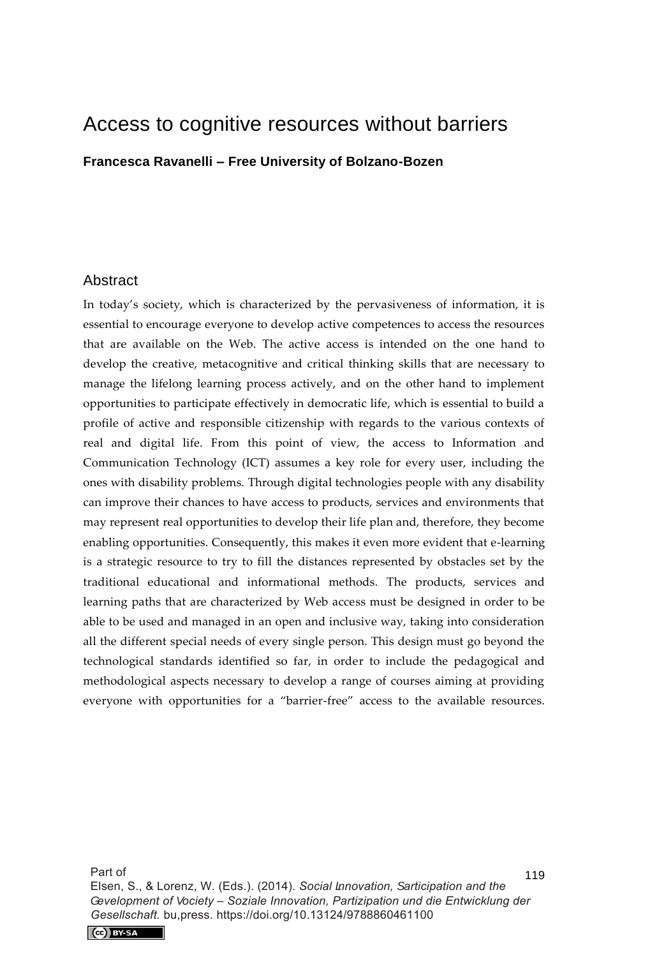# Access to cognitive resources without barriers

**Francesca Ravanelli – Free University of Bolzano-Bozen** 

#### Abstract

In today's society, which is characterized by the pervasiveness of information, it is essential to encourage everyone to develop active competences to access the resources that are available on the Web. The active access is intended on the one hand to develop the creative, metacognitive and critical thinking skills that are necessary to manage the lifelong learning process actively, and on the other hand to implement opportunities to participate effectively in democratic life, which is essential to build a profile of active and responsible citizenship with regards to the various contexts of real and digital life. From this point of view, the access to Information and Communication Technology (ICT) assumes a key role for every user, including the ones with disability problems. Through digital technologies people with any disability can improve their chances to have access to products, services and environments that may represent real opportunities to develop their life plan and, therefore, they become enabling opportunities. Consequently, this makes it even more evident that e-learning is a strategic resource to try to fill the distances represented by obstacles set by the traditional educational and informational methods. The products, services and learning paths that are characterized by Web access must be designed in order to be able to be used and managed in an open and inclusive way, taking into consideration all the different special needs of every single person. This design must go beyond the technological standards identified so far, in order to include the pedagogical and methodological aspects necessary to develop a range of courses aiming at providing everyone with opportunities for a "barrier-free" access to the available resources.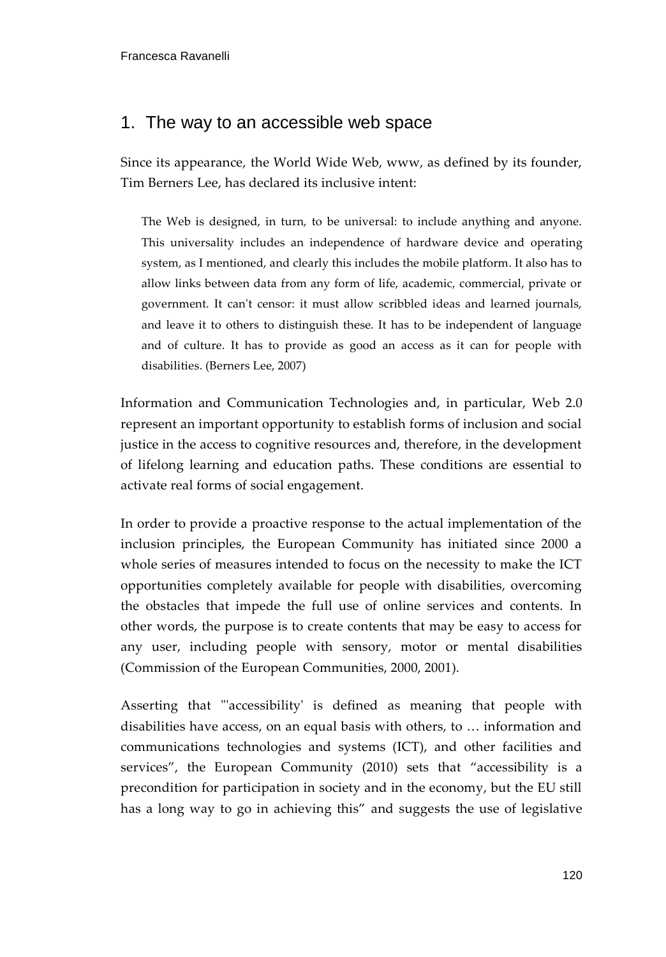## 1. The way to an accessible web space

Since its appearance, the World Wide Web, www, as defined by its founder, Tim Berners Lee, has declared its inclusive intent:

The Web is designed, in turn, to be universal: to include anything and anyone. This universality includes an independence of hardware device and operating system, as I mentioned, and clearly this includes the mobile platform. It also has to allow links between data from any form of life, academic, commercial, private or government. It can't censor: it must allow scribbled ideas and learned journals, and leave it to others to distinguish these. It has to be independent of language and of culture. It has to provide as good an access as it can for people with disabilities. (Berners Lee, 2007)

Information and Communication Technologies and, in particular, Web 2.0 represent an important opportunity to establish forms of inclusion and social justice in the access to cognitive resources and, therefore, in the development of lifelong learning and education paths. These conditions are essential to activate real forms of social engagement.

In order to provide a proactive response to the actual implementation of the inclusion principles, the European Community has initiated since 2000 a whole series of measures intended to focus on the necessity to make the ICT opportunities completely available for people with disabilities, overcoming the obstacles that impede the full use of online services and contents. In other words, the purpose is to create contents that may be easy to access for any user, including people with sensory, motor or mental disabilities (Commission of the European Communities, 2000, 2001).

Asserting that "'accessibility' is defined as meaning that people with disabilities have access, on an equal basis with others, to … information and communications technologies and systems (ICT), and other facilities and services", the European Community (2010) sets that "accessibility is a precondition for participation in society and in the economy, but the EU still has a long way to go in achieving this" and suggests the use of legislative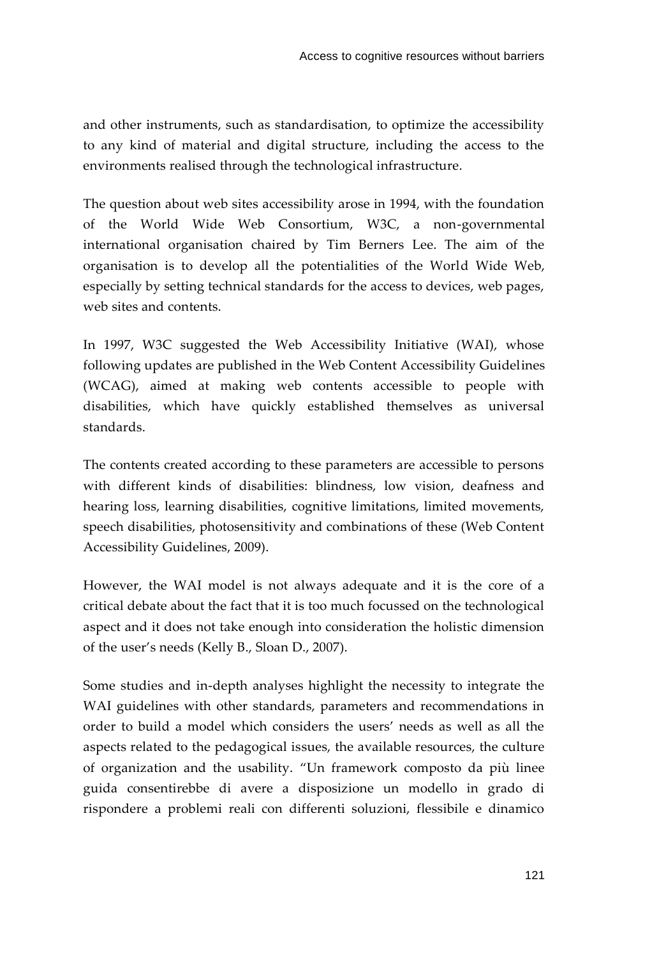and other instruments, such as standardisation, to optimize the accessibility to any kind of material and digital structure, including the access to the environments realised through the technological infrastructure.

The question about web sites accessibility arose in 1994, with the foundation of the World Wide Web Consortium, W3C, a non-governmental international organisation chaired by Tim Berners Lee. The aim of the organisation is to develop all the potentialities of the World Wide Web, especially by setting technical standards for the access to devices, web pages, web sites and contents.

In 1997, W3C suggested the Web Accessibility Initiative (WAI), whose following updates are published in the Web Content Accessibility Guidelines (WCAG), aimed at making web contents accessible to people with disabilities, which have quickly established themselves as universal standards.

The contents created according to these parameters are accessible to persons with different kinds of disabilities: blindness, low vision, deafness and hearing loss, learning disabilities, cognitive limitations, limited movements, speech disabilities, photosensitivity and combinations of these (Web Content Accessibility Guidelines, 2009).

However, the WAI model is not always adequate and it is the core of a critical debate about the fact that it is too much focussed on the technological aspect and it does not take enough into consideration the holistic dimension of the user's needs (Kelly B., Sloan D., 2007).

Some studies and in-depth analyses highlight the necessity to integrate the WAI guidelines with other standards, parameters and recommendations in order to build a model which considers the users' needs as well as all the aspects related to the pedagogical issues, the available resources, the culture of organization and the usability. "Un framework composto da più linee guida consentirebbe di avere a disposizione un modello in grado di rispondere a problemi reali con differenti soluzioni, flessibile e dinamico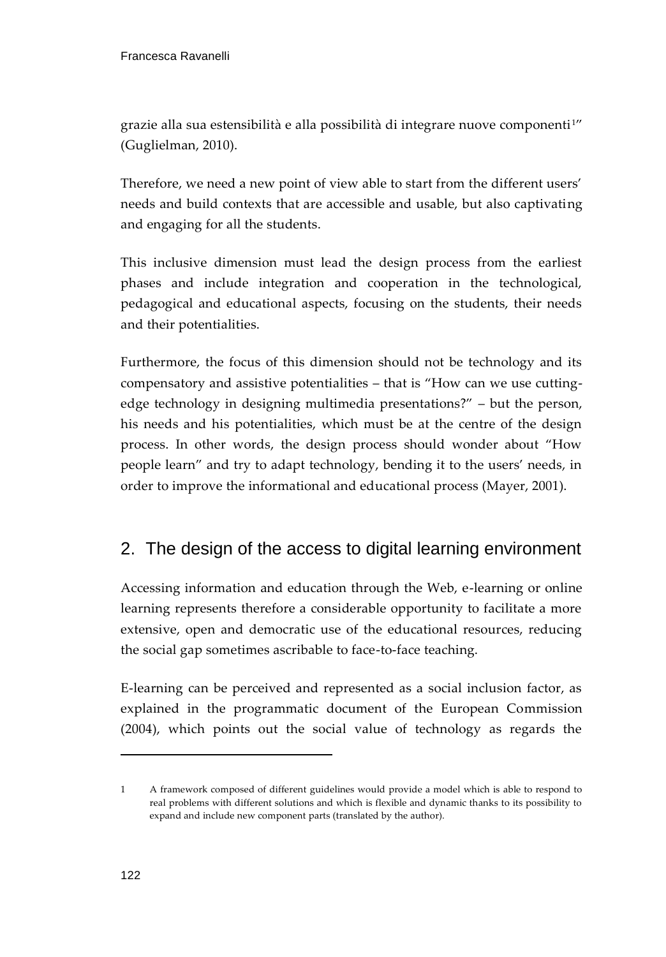grazie alla sua estensibilità e alla possibilità di integrare nuove componenti<sup>1"</sup> (Guglielman, 2010).

Therefore, we need a new point of view able to start from the different users' needs and build contexts that are accessible and usable, but also captivating and engaging for all the students.

This inclusive dimension must lead the design process from the earliest phases and include integration and cooperation in the technological, pedagogical and educational aspects, focusing on the students, their needs and their potentialities.

Furthermore, the focus of this dimension should not be technology and its compensatory and assistive potentialities – that is "How can we use cuttingedge technology in designing multimedia presentations?" – but the person, his needs and his potentialities, which must be at the centre of the design process. In other words, the design process should wonder about "How people learn" and try to adapt technology, bending it to the users' needs, in order to improve the informational and educational process (Mayer, 2001).

## 2. The design of the access to digital learning environment

Accessing information and education through the Web, e-learning or online learning represents therefore a considerable opportunity to facilitate a more extensive, open and democratic use of the educational resources, reducing the social gap sometimes ascribable to face-to-face teaching.

E-learning can be perceived and represented as a social inclusion factor, as explained in the programmatic document of the European Commission (2004), which points out the social value of technology as regards the

j

<sup>1</sup> A framework composed of different guidelines would provide a model which is able to respond to real problems with different solutions and which is flexible and dynamic thanks to its possibility to expand and include new component parts (translated by the author).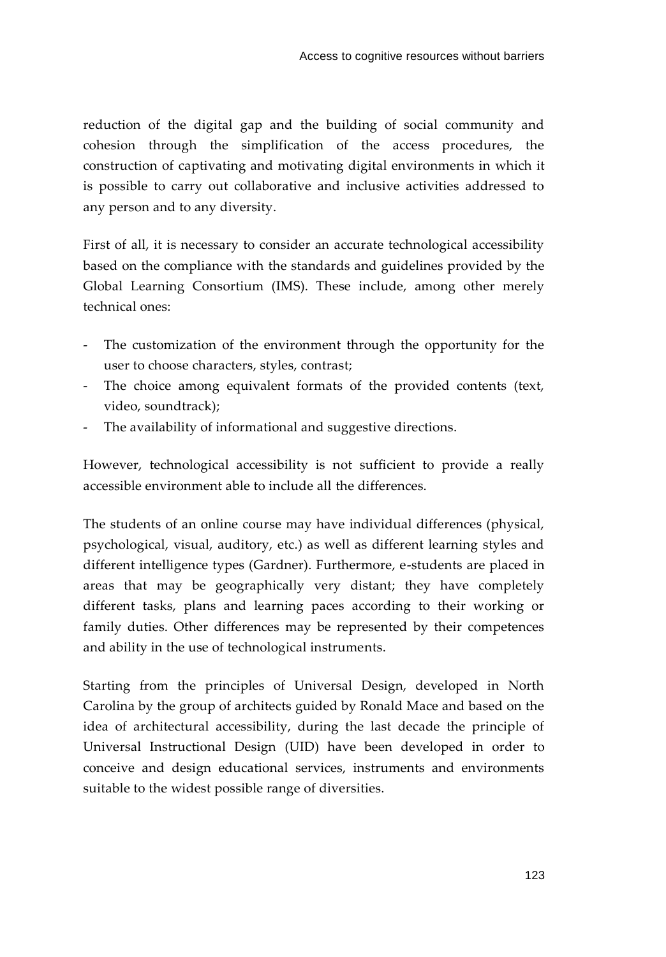reduction of the digital gap and the building of social community and cohesion through the simplification of the access procedures, the construction of captivating and motivating digital environments in which it is possible to carry out collaborative and inclusive activities addressed to any person and to any diversity.

First of all, it is necessary to consider an accurate technological accessibility based on the compliance with the standards and guidelines provided by the Global Learning Consortium (IMS). These include, among other merely technical ones:

- The customization of the environment through the opportunity for the user to choose characters, styles, contrast;
- The choice among equivalent formats of the provided contents (text, video, soundtrack);
- The availability of informational and suggestive directions.

However, technological accessibility is not sufficient to provide a really accessible environment able to include all the differences.

The students of an online course may have individual differences (physical, psychological, visual, auditory, etc.) as well as different learning styles and different intelligence types (Gardner). Furthermore, e-students are placed in areas that may be geographically very distant; they have completely different tasks, plans and learning paces according to their working or family duties. Other differences may be represented by their competences and ability in the use of technological instruments.

Starting from the principles of Universal Design, developed in North Carolina by the group of architects guided by Ronald Mace and based on the idea of architectural accessibility, during the last decade the principle of Universal Instructional Design (UID) have been developed in order to conceive and design educational services, instruments and environments suitable to the widest possible range of diversities.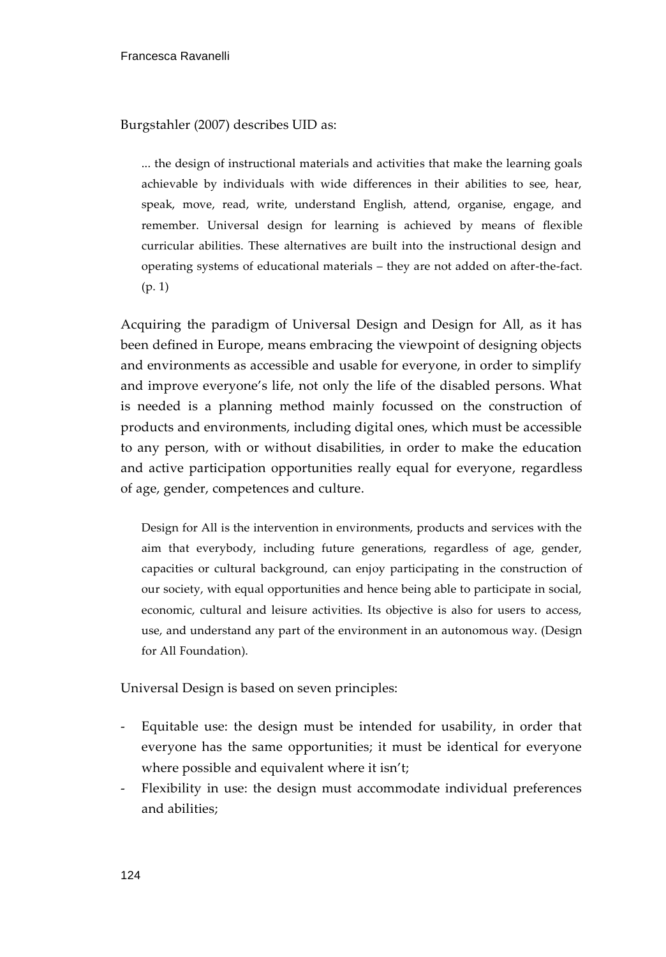Burgstahler (2007) describes UID as:

... the design of instructional materials and activities that make the learning goals achievable by individuals with wide differences in their abilities to see, hear, speak, move, read, write, understand English, attend, organise, engage, and remember. Universal design for learning is achieved by means of flexible curricular abilities. These alternatives are built into the instructional design and operating systems of educational materials – they are not added on after-the-fact. (p. 1)

Acquiring the paradigm of Universal Design and Design for All, as it has been defined in Europe, means embracing the viewpoint of designing objects and environments as accessible and usable for everyone, in order to simplify and improve everyone's life, not only the life of the disabled persons. What is needed is a planning method mainly focussed on the construction of products and environments, including digital ones, which must be accessible to any person, with or without disabilities, in order to make the education and active participation opportunities really equal for everyone, regardless of age, gender, competences and culture.

Design for All is the intervention in environments, products and services with the aim that everybody, including future generations, regardless of age, gender, capacities or cultural background, can enjoy participating in the construction of our society, with equal opportunities and hence being able to participate in social, economic, cultural and leisure activities. Its objective is also for users to access, use, and understand any part of the environment in an autonomous way. (Design for All Foundation).

Universal Design is based on seven principles:

- Equitable use: the design must be intended for usability, in order that everyone has the same opportunities; it must be identical for everyone where possible and equivalent where it isn't;
- Flexibility in use: the design must accommodate individual preferences and abilities;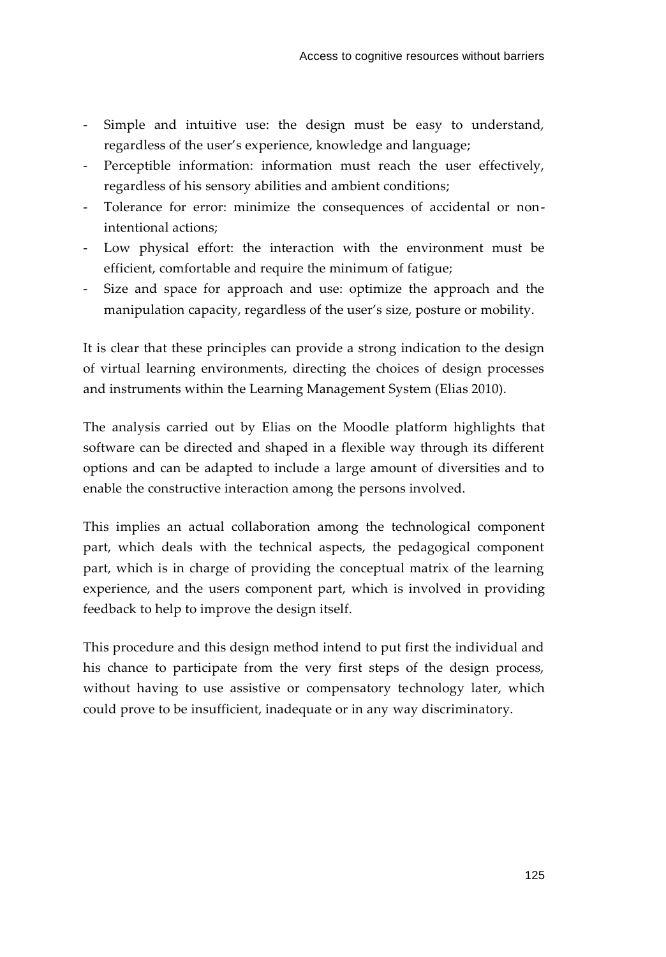- Simple and intuitive use: the design must be easy to understand, regardless of the user's experience, knowledge and language;
- Perceptible information: information must reach the user effectively, regardless of his sensory abilities and ambient conditions;
- Tolerance for error: minimize the consequences of accidental or nonintentional actions;
- Low physical effort: the interaction with the environment must be efficient, comfortable and require the minimum of fatigue;
- Size and space for approach and use: optimize the approach and the manipulation capacity, regardless of the user's size, posture or mobility.

It is clear that these principles can provide a strong indication to the design of virtual learning environments, directing the choices of design processes and instruments within the Learning Management System (Elias 2010).

The analysis carried out by Elias on the Moodle platform highlights that software can be directed and shaped in a flexible way through its different options and can be adapted to include a large amount of diversities and to enable the constructive interaction among the persons involved.

This implies an actual collaboration among the technological component part, which deals with the technical aspects, the pedagogical component part, which is in charge of providing the conceptual matrix of the learning experience, and the users component part, which is involved in providing feedback to help to improve the design itself.

This procedure and this design method intend to put first the individual and his chance to participate from the very first steps of the design process, without having to use assistive or compensatory technology later, which could prove to be insufficient, inadequate or in any way discriminatory.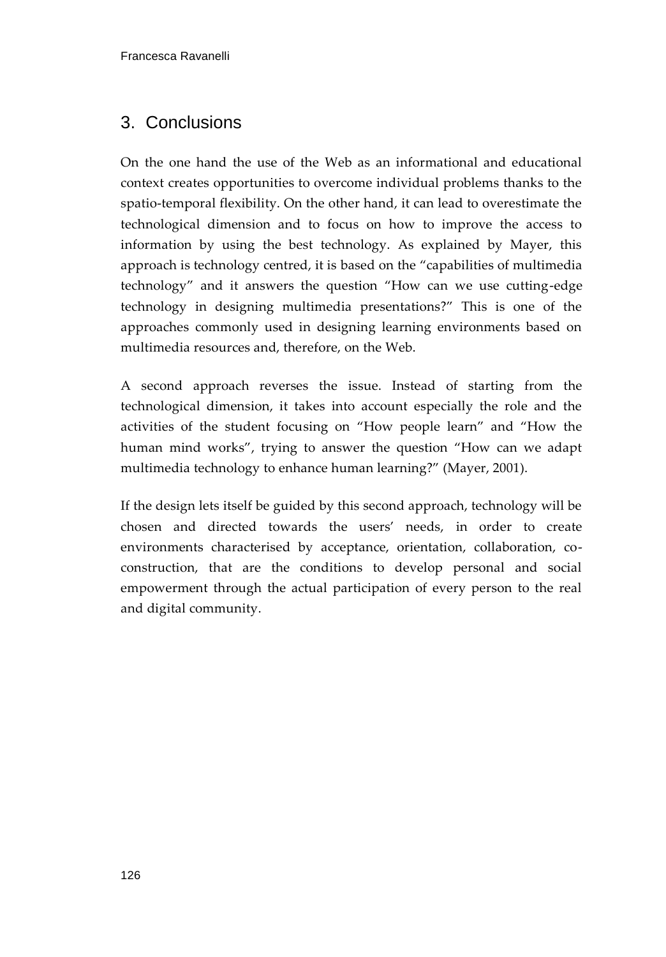## 3. Conclusions

On the one hand the use of the Web as an informational and educational context creates opportunities to overcome individual problems thanks to the spatio-temporal flexibility. On the other hand, it can lead to overestimate the technological dimension and to focus on how to improve the access to information by using the best technology. As explained by Mayer, this approach is technology centred, it is based on the "capabilities of multimedia technology" and it answers the question "How can we use cutting-edge technology in designing multimedia presentations?" This is one of the approaches commonly used in designing learning environments based on multimedia resources and, therefore, on the Web.

A second approach reverses the issue. Instead of starting from the technological dimension, it takes into account especially the role and the activities of the student focusing on "How people learn" and "How the human mind works", trying to answer the question "How can we adapt multimedia technology to enhance human learning?" (Mayer, 2001).

If the design lets itself be guided by this second approach, technology will be chosen and directed towards the users' needs, in order to create environments characterised by acceptance, orientation, collaboration, coconstruction, that are the conditions to develop personal and social empowerment through the actual participation of every person to the real and digital community.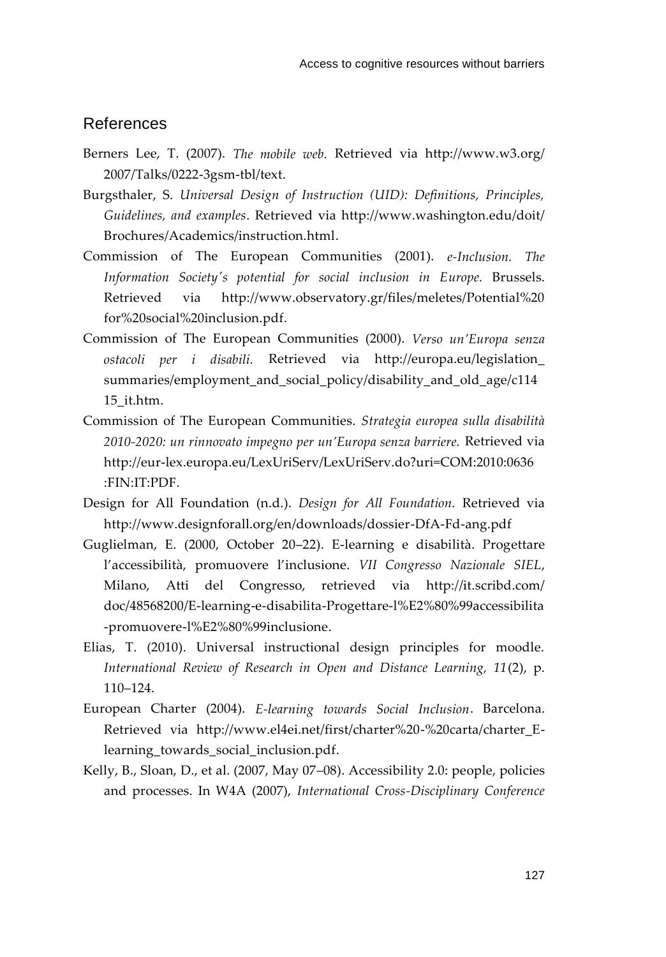#### References

- Berners Lee, T. (2007). *The mobile web.* Retrieved via http://www.w3.org/ 2007/Talks/0222-3gsm-tbl/text.
- Burgsthaler, S. *Universal Design of Instruction (UID): Definitions, Principles, Guidelines, and examples*. Retrieved via [http://www.washington.edu/doit/](http://www.washington.edu/doit/Brochures/Academics/instruction.html)  [Brochures/Academics/instruction.html.](http://www.washington.edu/doit/Brochures/Academics/instruction.html)
- Commission of The European Communities (2001). *e-Inclusion. The Information Society's potential for social inclusion in Europe.* Brussels. Retrieved via http://www.observatory.gr/files/meletes/Potential%20 for%20social%20inclusion.pdf.
- Commission of The European Communities (2000). *Verso un'Europa senza ostacoli per i disabili.* Retrieved via http://europa.eu/legislation\_ summaries/employment\_and\_social\_policy/disability\_and\_old\_age/c114 15\_it.htm.
- Commission of The European Communities. *Strategia europea sulla disabilità 2010-2020: un rinnovato impegno per un'Europa senza barriere.* Retrieved via http://eur-lex.europa.eu/LexUriServ/LexUriServ.do?uri=COM:2010:0636 :FIN:IT:PDF.
- Design for All Foundation (n.d.). *Design for All Foundation.* Retrieved via http://www.designforall.org/en/downloads/dossier-DfA-Fd-ang.pdf
- Guglielman, E. (2000, October 20–22). E-learning e disabilità. Progettare l'accessibilità, promuovere l'inclusione. *VII Congresso Nazionale SIEL*, Milano, Atti del Congresso, retrieved via http://it.scribd.com/ doc/48568200/E-learning-e-disabilita-Progettare-l%E2%80%99accessibilita -promuovere-l%E2%80%99inclusione.
- Elias, T. (2010). Universal instructional design principles for moodle. *International Review of Research in Open and Distance Learning, 11*(2), p. 110–124.
- European Charter (2004). *E-learning towards Social Inclusion*. Barcelona. Retrieved via [http://www.el4ei.net/first/charter%20-%20carta/charter\\_E](http://www.el4ei.net/first/charter%20-%20carta/charter_E-learning_towards_social_inclusion.pdf)[learning\\_towards\\_social\\_inclusion.pdf.](http://www.el4ei.net/first/charter%20-%20carta/charter_E-learning_towards_social_inclusion.pdf)
- Kelly, B., Sloan, D., et al. (2007, May 07–08). Accessibility 2.0: people, policies and processes. In W4A (2007), *International Cross-Disciplinary Conference*